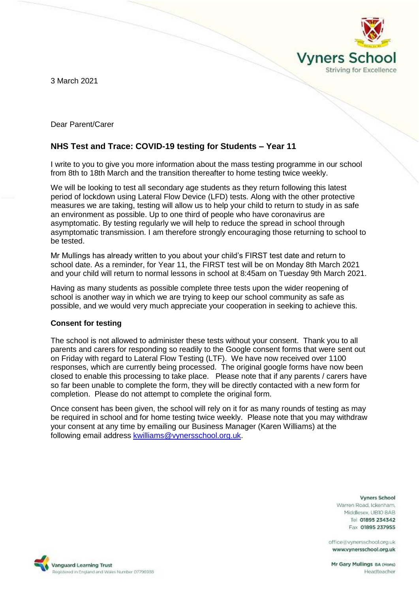3 March 2021



Dear Parent/Carer

# **NHS Test and Trace: COVID-19 testing for Students – Year 11**

I write to you to give you more information about the mass testing programme in our school from 8th to 18th March and the transition thereafter to home testing twice weekly.

We will be looking to test all secondary age students as they return following this latest period of lockdown using Lateral Flow Device (LFD) tests. Along with the other protective measures we are taking, testing will allow us to help your child to return to study in as safe an environment as possible. Up to one third of people who have coronavirus are asymptomatic. By testing regularly we will help to reduce the spread in school through asymptomatic transmission. I am therefore strongly encouraging those returning to school to be tested.

Mr Mullings has already written to you about your child's FIRST test date and return to school date. As a reminder, for Year 11, the FIRST test will be on Monday 8th March 2021 and your child will return to normal lessons in school at 8:45am on Tuesday 9th March 2021.

Having as many students as possible complete three tests upon the wider reopening of school is another way in which we are trying to keep our school community as safe as possible, and we would very much appreciate your cooperation in seeking to achieve this.

## **Consent for testing**

Vanguard Learning Trust

Registered in England and Wales Number 07796938

The school is not allowed to administer these tests without your consent. Thank you to all parents and carers for responding so readily to the Google consent forms that were sent out on Friday with regard to Lateral Flow Testing (LTF). We have now received over 1100 responses, which are currently being processed. The original google forms have now been closed to enable this processing to take place. Please note that if any parents / carers have so far been unable to complete the form, they will be directly contacted with a new form for completion. Please do not attempt to complete the original form.

Once consent has been given, the school will rely on it for as many rounds of testing as may be required in school and for home testing twice weekly. Please note that you may withdraw your consent at any time by emailing our Business Manager (Karen Williams) at the following email address [kwilliams@vynersschool.org.uk.](mailto:kwilliams@vynersschool.org.uk)

**Vyners School** 

Headteacher

Warren Road, Ickenham. Middlesex UBIO 8AB Tel 01895 234342 Fax 01895 237955

office@vynersschool.org.uk www.vynersschool.org.uk

Mr Gary Mullings BA (Hons)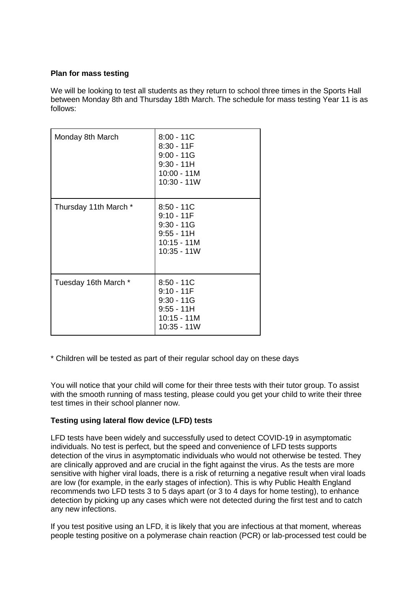## **Plan for mass testing**

We will be looking to test all students as they return to school three times in the Sports Hall between Monday 8th and Thursday 18th March. The schedule for mass testing Year 11 is as follows:

| Monday 8th March      | $8:00 - 11C$<br>$8:30 - 11F$<br>$9:00 - 11G$<br>$9:30 - 11H$<br>$10:00 - 11M$<br>10:30 - 11W |
|-----------------------|----------------------------------------------------------------------------------------------|
| Thursday 11th March * | $8:50 - 11C$<br>$9:10 - 11F$<br>$9:30 - 11G$<br>$9:55 - 11H$<br>$10:15 - 11M$<br>10:35 - 11W |
| Tuesday 16th March *  | $8:50 - 11C$<br>$9:10 - 11F$<br>$9:30 - 11G$<br>$9:55 - 11H$<br>10:15 - 11M<br>10:35 - 11W   |

\* Children will be tested as part of their regular school day on these days

You will notice that your child will come for their three tests with their tutor group. To assist with the smooth running of mass testing, please could you get your child to write their three test times in their school planner now.

## **Testing using lateral flow device (LFD) tests**

LFD tests have been widely and successfully used to detect COVID-19 in asymptomatic individuals. No test is perfect, but the speed and convenience of LFD tests supports detection of the virus in asymptomatic individuals who would not otherwise be tested. They are clinically approved and are crucial in the fight against the virus. As the tests are more sensitive with higher viral loads, there is a risk of returning a negative result when viral loads are low (for example, in the early stages of infection). This is why Public Health England recommends two LFD tests 3 to 5 days apart (or 3 to 4 days for home testing), to enhance detection by picking up any cases which were not detected during the first test and to catch any new infections.

If you test positive using an LFD, it is likely that you are infectious at that moment, whereas people testing positive on a polymerase chain reaction (PCR) or lab-processed test could be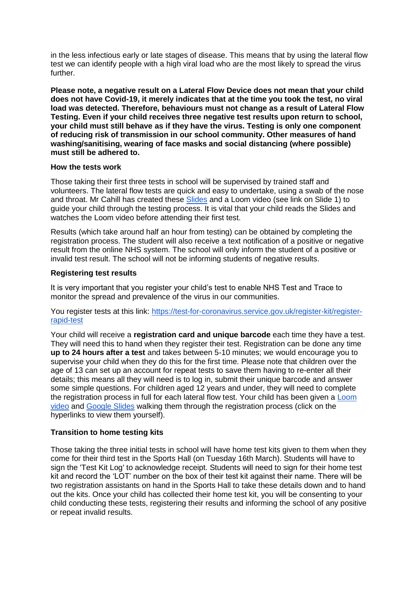in the less infectious early or late stages of disease. This means that by using the lateral flow test we can identify people with a high viral load who are the most likely to spread the virus further.

**Please note, a negative result on a Lateral Flow Device does not mean that your child does not have Covid-19, it merely indicates that at the time you took the test, no viral load was detected. Therefore, behaviours must not change as a result of Lateral Flow Testing. Even if your child receives three negative test results upon return to school, your child must still behave as if they have the virus. Testing is only one component of reducing risk of transmission in our school community. Other measures of hand washing/sanitising, wearing of face masks and social distancing (where possible) must still be adhered to.**

### **How the tests work**

Those taking their first three tests in school will be supervised by trained staff and volunteers. The lateral flow tests are quick and easy to undertake, using a swab of the nose and throat. Mr Cahill has created these [Slides](https://docs.google.com/presentation/d/1gz1t-rqJkTcXn6FmRusH9uKAaRId2x0yOQJAcbk5ymU/edit?usp=sharing) and a Loom video (see link on Slide 1) to guide your child through the testing process. It is vital that your child reads the Slides and watches the Loom video before attending their first test.

Results (which take around half an hour from testing) can be obtained by completing the registration process. The student will also receive a text notification of a positive or negative result from the online NHS system. The school will only inform the student of a positive or invalid test result. The school will not be informing students of negative results.

## **Registering test results**

It is very important that you register your child's test to enable NHS Test and Trace to monitor the spread and prevalence of the virus in our communities.

You register tests at this link: [https://test-for-coronavirus.service.gov.uk/register-kit/register](https://test-for-coronavirus.service.gov.uk/register-kit/register-rapid-test)[rapid-test](https://test-for-coronavirus.service.gov.uk/register-kit/register-rapid-test)

Your child will receive a **registration card and unique barcode** each time they have a test. They will need this to hand when they register their test. Registration can be done any time **up to 24 hours after a test** and takes between 5-10 minutes; we would encourage you to supervise your child when they do this for the first time. Please note that children over the age of 13 can set up an account for repeat tests to save them having to re-enter all their details; this means all they will need is to log in, submit their unique barcode and answer some simple questions. For children aged 12 years and under, they will need to complete the registration process in full for each lateral flow test. Your child has been given a [Loom](https://www.loom.com/share/aea42cd2f9124e51b03fe8972f9a3583)  [video](https://www.loom.com/share/aea42cd2f9124e51b03fe8972f9a3583) and [Google Slides](https://docs.google.com/presentation/d/11chsOQ94u8ECZV-K7yZ9nf1DvangLK9Y0KLWEpb9z-A/edit?usp=sharing) walking them through the registration process (click on the hyperlinks to view them yourself).

## **Transition to home testing kits**

Those taking the three initial tests in school will have home test kits given to them when they come for their third test in the Sports Hall (on Tuesday 16th March). Students will have to sign the 'Test Kit Log' to acknowledge receipt. Students will need to sign for their home test kit and record the 'LOT' number on the box of their test kit against their name. There will be two registration assistants on hand in the Sports Hall to take these details down and to hand out the kits. Once your child has collected their home test kit, you will be consenting to your child conducting these tests, registering their results and informing the school of any positive or repeat invalid results.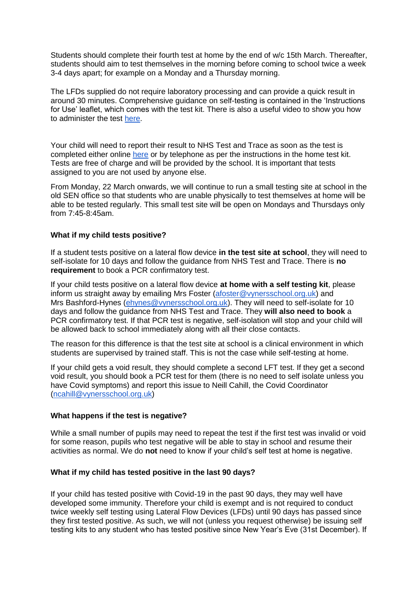Students should complete their fourth test at home by the end of w/c 15th March. Thereafter, students should aim to test themselves in the morning before coming to school twice a week 3-4 days apart; for example on a Monday and a Thursday morning.

The LFDs supplied do not require laboratory processing and can provide a quick result in around 30 minutes. Comprehensive guidance on self-testing is contained in the 'Instructions for Use' leaflet, which comes with the test kit. There is also a useful video to show you how to administer the test [here.](https://www.youtube.com/playlist?list=PLvaBZskxS7tzQYlVg7lwH5uxAD9UrSzGJ)

Your child will need to report their result to NHS Test and Trace as soon as the test is completed either online [here](https://www.gov.uk/report-covid19-result) or by telephone as per the instructions in the home test kit. Tests are free of charge and will be provided by the school. It is important that tests assigned to you are not used by anyone else.

From Monday, 22 March onwards, we will continue to run a small testing site at school in the old SEN office so that students who are unable physically to test themselves at home will be able to be tested regularly. This small test site will be open on Mondays and Thursdays only from 7:45-8:45am.

### **What if my child tests positive?**

If a student tests positive on a lateral flow device **in the test site at school**, they will need to self-isolate for 10 days and follow the guidance from NHS Test and Trace. There is **no requirement** to book a PCR confirmatory test.

If your child tests positive on a lateral flow device **at home with a self testing kit**, please inform us straight away by emailing Mrs Foster [\(afoster@vynersschool.org.uk\)](mailto:afoster@vynersschool.org.uk) and Mrs Bashford-Hynes [\(ehynes@vynersschool.org.uk\)](mailto:ehynes@vynersschool.org.uk). They will need to self-isolate for 10 days and follow the guidance from NHS Test and Trace. They **will also need to book** a PCR confirmatory test. If that PCR test is negative, self-isolation will stop and your child will be allowed back to school immediately along with all their close contacts.

The reason for this difference is that the test site at school is a clinical environment in which students are supervised by trained staff. This is not the case while self-testing at home.

If your child gets a void result, they should complete a second LFT test. If they get a second void result, you should book a PCR test for them (there is no need to self isolate unless you have Covid symptoms) and report this issue to Neill Cahill, the Covid Coordinator [\(ncahill@vynersschool.org.uk\)](mailto:ncahill@vynersschool.org.uk)

### **What happens if the test is negative?**

While a small number of pupils may need to repeat the test if the first test was invalid or void for some reason, pupils who test negative will be able to stay in school and resume their activities as normal. We do **not** need to know if your child's self test at home is negative.

### **What if my child has tested positive in the last 90 days?**

If your child has tested positive with Covid-19 in the past 90 days, they may well have developed some immunity. Therefore your child is exempt and is not required to conduct twice weekly self testing using Lateral Flow Devices (LFDs) until 90 days has passed since they first tested positive. As such, we will not (unless you request otherwise) be issuing self testing kits to any student who has tested positive since New Year's Eve (31st December). If